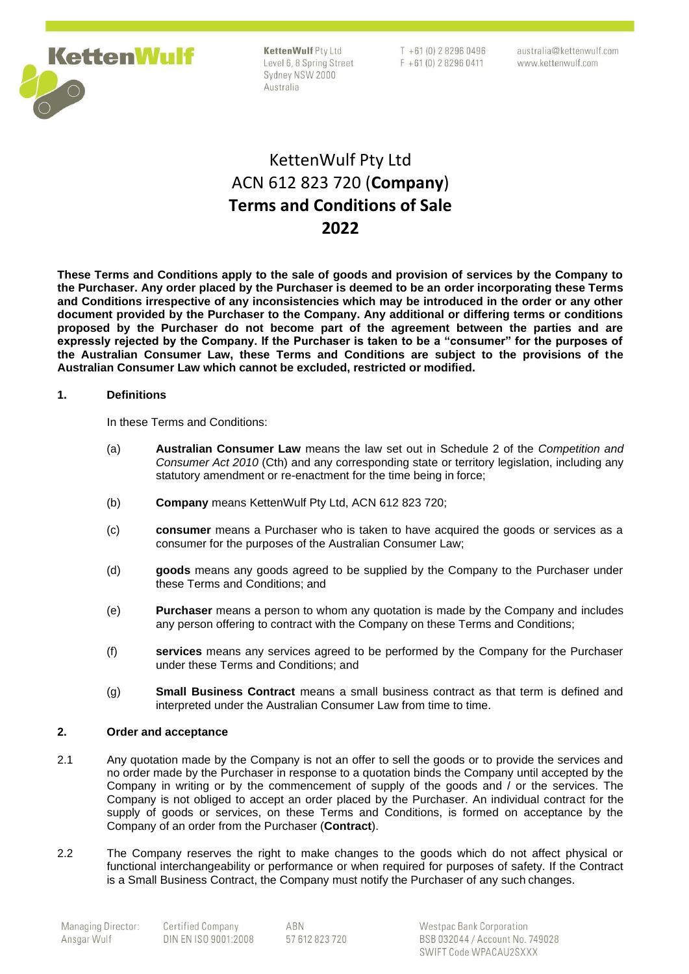

| <b>Cetten Wulf Pty Ltd</b> |
|----------------------------|
| evel 6, 8 Spring Street    |
| Sydney NSW 2000            |
| Australia                  |

 $T + 61(0) 282960496$  $F + 61(0) 282960411$  australia@kettenwulf.com www.kettenwulf.com

# KettenWulf Pty Ltd ACN 612 823 720 (**Company**) **Terms and Conditions of Sale 2022**

**These Terms and Conditions apply to the sale of goods and provision of services by the Company to the Purchaser. Any order placed by the Purchaser is deemed to be an order incorporating these Terms and Conditions irrespective of any inconsistencies which may be introduced in the order or any other document provided by the Purchaser to the Company. Any additional or differing terms or conditions proposed by the Purchaser do not become part of the agreement between the parties and are expressly rejected by the Company. If the Purchaser is taken to be a "consumer" for the purposes of the Australian Consumer Law, these Terms and Conditions are subject to the provisions of the Australian Consumer Law which cannot be excluded, restricted or modified.**

## **1. Definitions**

In these Terms and Conditions:

- (a) **Australian Consumer Law** means the law set out in Schedule 2 of the *Competition and Consumer Act 2010* (Cth) and any corresponding state or territory legislation, including any statutory amendment or re-enactment for the time being in force;
- (b) **Company** means KettenWulf Pty Ltd, ACN 612 823 720;
- (c) **consumer** means a Purchaser who is taken to have acquired the goods or services as a consumer for the purposes of the Australian Consumer Law;
- (d) **goods** means any goods agreed to be supplied by the Company to the Purchaser under these Terms and Conditions; and
- (e) **Purchaser** means a person to whom any quotation is made by the Company and includes any person offering to contract with the Company on these Terms and Conditions;
- (f) **services** means any services agreed to be performed by the Company for the Purchaser under these Terms and Conditions; and
- (g) **Small Business Contract** means a small business contract as that term is defined and interpreted under the Australian Consumer Law from time to time.

## **2. Order and acceptance**

- 2.1 Any quotation made by the Company is not an offer to sell the goods or to provide the services and no order made by the Purchaser in response to a quotation binds the Company until accepted by the Company in writing or by the commencement of supply of the goods and / or the services. The Company is not obliged to accept an order placed by the Purchaser. An individual contract for the supply of goods or services, on these Terms and Conditions, is formed on acceptance by the Company of an order from the Purchaser (**Contract**).
- 2.2 The Company reserves the right to make changes to the goods which do not affect physical or functional interchangeability or performance or when required for purposes of safety. If the Contract is a Small Business Contract, the Company must notify the Purchaser of any such changes.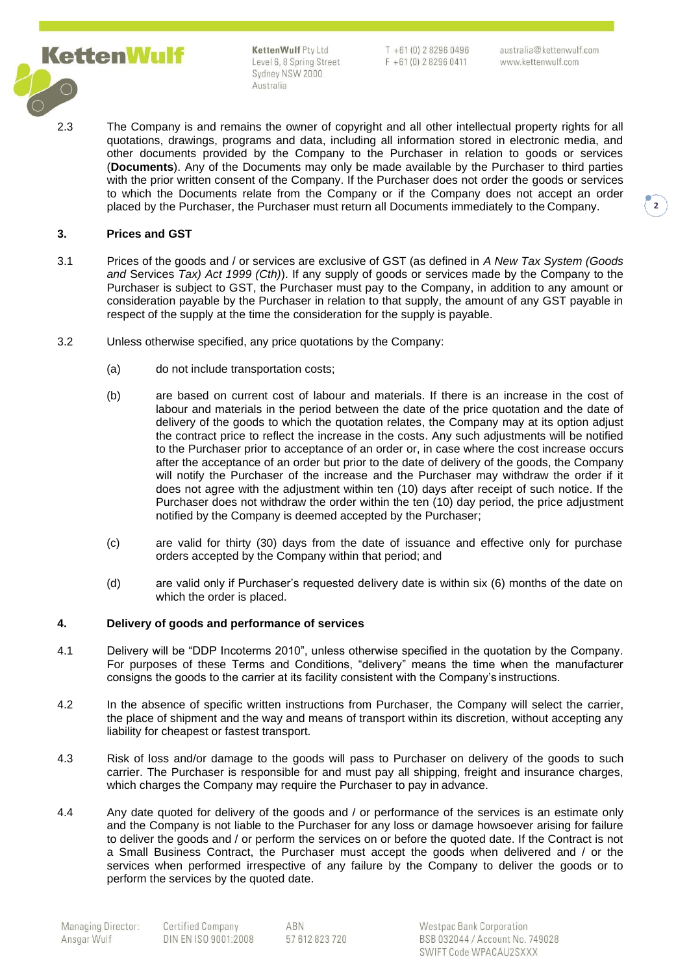

 $T + 61(0) 282960496$  $F + 61(0) 282960411$ 

australia@kettenwulf.com www.kettenwulf.com

2.3 The Company is and remains the owner of copyright and all other intellectual property rights for all quotations, drawings, programs and data, including all information stored in electronic media, and other documents provided by the Company to the Purchaser in relation to goods or services (**Documents**). Any of the Documents may only be made available by the Purchaser to third parties with the prior written consent of the Company. If the Purchaser does not order the goods or services to which the Documents relate from the Company or if the Company does not accept an order placed by the Purchaser, the Purchaser must return all Documents immediately to the Company.

## **3. Prices and GST**

- 3.1 Prices of the goods and / or services are exclusive of GST (as defined in *A New Tax System (Goods and* Services *Tax) Act 1999 (Cth)*). If any supply of goods or services made by the Company to the Purchaser is subject to GST, the Purchaser must pay to the Company, in addition to any amount or consideration payable by the Purchaser in relation to that supply, the amount of any GST payable in respect of the supply at the time the consideration for the supply is payable.
- 3.2 Unless otherwise specified, any price quotations by the Company:
	- (a) do not include transportation costs;
	- (b) are based on current cost of labour and materials. If there is an increase in the cost of labour and materials in the period between the date of the price quotation and the date of delivery of the goods to which the quotation relates, the Company may at its option adjust the contract price to reflect the increase in the costs. Any such adjustments will be notified to the Purchaser prior to acceptance of an order or, in case where the cost increase occurs after the acceptance of an order but prior to the date of delivery of the goods, the Company will notify the Purchaser of the increase and the Purchaser may withdraw the order if it does not agree with the adjustment within ten (10) days after receipt of such notice. If the Purchaser does not withdraw the order within the ten (10) day period, the price adjustment notified by the Company is deemed accepted by the Purchaser;
	- (c) are valid for thirty (30) days from the date of issuance and effective only for purchase orders accepted by the Company within that period; and
	- (d) are valid only if Purchaser's requested delivery date is within six (6) months of the date on which the order is placed.

### **4. Delivery of goods and performance of services**

- 4.1 Delivery will be "DDP Incoterms 2010", unless otherwise specified in the quotation by the Company. For purposes of these Terms and Conditions, "delivery" means the time when the manufacturer consigns the goods to the carrier at its facility consistent with the Company's instructions.
- 4.2 In the absence of specific written instructions from Purchaser, the Company will select the carrier, the place of shipment and the way and means of transport within its discretion, without accepting any liability for cheapest or fastest transport.
- 4.3 Risk of loss and/or damage to the goods will pass to Purchaser on delivery of the goods to such carrier. The Purchaser is responsible for and must pay all shipping, freight and insurance charges, which charges the Company may require the Purchaser to pay in advance.
- 4.4 Any date quoted for delivery of the goods and / or performance of the services is an estimate only and the Company is not liable to the Purchaser for any loss or damage howsoever arising for failure to deliver the goods and / or perform the services on or before the quoted date. If the Contract is not a Small Business Contract, the Purchaser must accept the goods when delivered and / or the services when performed irrespective of any failure by the Company to deliver the goods or to perform the services by the quoted date.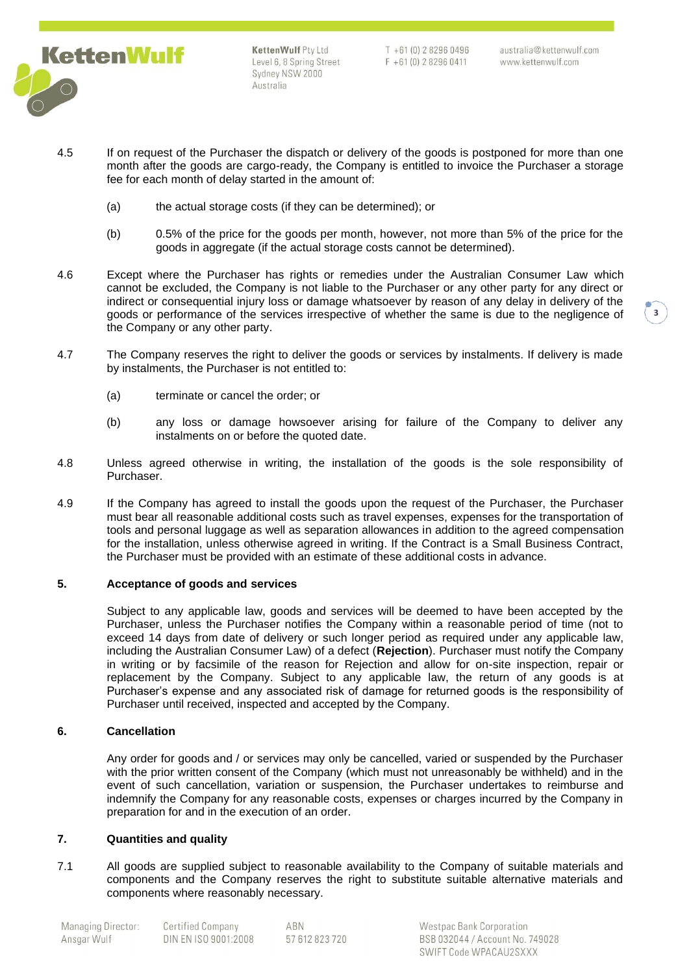

 $T + 61(0)$  282960496  $F + 61(0) 282960411$  australia@kettenwulf.com www.kettenwulf.com

- 4.5 If on request of the Purchaser the dispatch or delivery of the goods is postponed for more than one month after the goods are cargo-ready, the Company is entitled to invoice the Purchaser a storage fee for each month of delay started in the amount of:
	- (a) the actual storage costs (if they can be determined); or
	- (b) 0.5% of the price for the goods per month, however, not more than 5% of the price for the goods in aggregate (if the actual storage costs cannot be determined).
- 4.6 Except where the Purchaser has rights or remedies under the Australian Consumer Law which cannot be excluded, the Company is not liable to the Purchaser or any other party for any direct or indirect or consequential injury loss or damage whatsoever by reason of any delay in delivery of the goods or performance of the services irrespective of whether the same is due to the negligence of the Company or any other party.
- 4.7 The Company reserves the right to deliver the goods or services by instalments. If delivery is made by instalments, the Purchaser is not entitled to:
	- (a) terminate or cancel the order; or
	- (b) any loss or damage howsoever arising for failure of the Company to deliver any instalments on or before the quoted date.
- 4.8 Unless agreed otherwise in writing, the installation of the goods is the sole responsibility of Purchaser.
- 4.9 If the Company has agreed to install the goods upon the request of the Purchaser, the Purchaser must bear all reasonable additional costs such as travel expenses, expenses for the transportation of tools and personal luggage as well as separation allowances in addition to the agreed compensation for the installation, unless otherwise agreed in writing. If the Contract is a Small Business Contract, the Purchaser must be provided with an estimate of these additional costs in advance.

### **5. Acceptance of goods and services**

Subject to any applicable law, goods and services will be deemed to have been accepted by the Purchaser, unless the Purchaser notifies the Company within a reasonable period of time (not to exceed 14 days from date of delivery or such longer period as required under any applicable law, including the Australian Consumer Law) of a defect (**Rejection**). Purchaser must notify the Company in writing or by facsimile of the reason for Rejection and allow for on-site inspection, repair or replacement by the Company. Subject to any applicable law, the return of any goods is at Purchaser's expense and any associated risk of damage for returned goods is the responsibility of Purchaser until received, inspected and accepted by the Company.

## **6. Cancellation**

Any order for goods and / or services may only be cancelled, varied or suspended by the Purchaser with the prior written consent of the Company (which must not unreasonably be withheld) and in the event of such cancellation, variation or suspension, the Purchaser undertakes to reimburse and indemnify the Company for any reasonable costs, expenses or charges incurred by the Company in preparation for and in the execution of an order.

## **7. Quantities and quality**

7.1 All goods are supplied subject to reasonable availability to the Company of suitable materials and components and the Company reserves the right to substitute suitable alternative materials and components where reasonably necessary.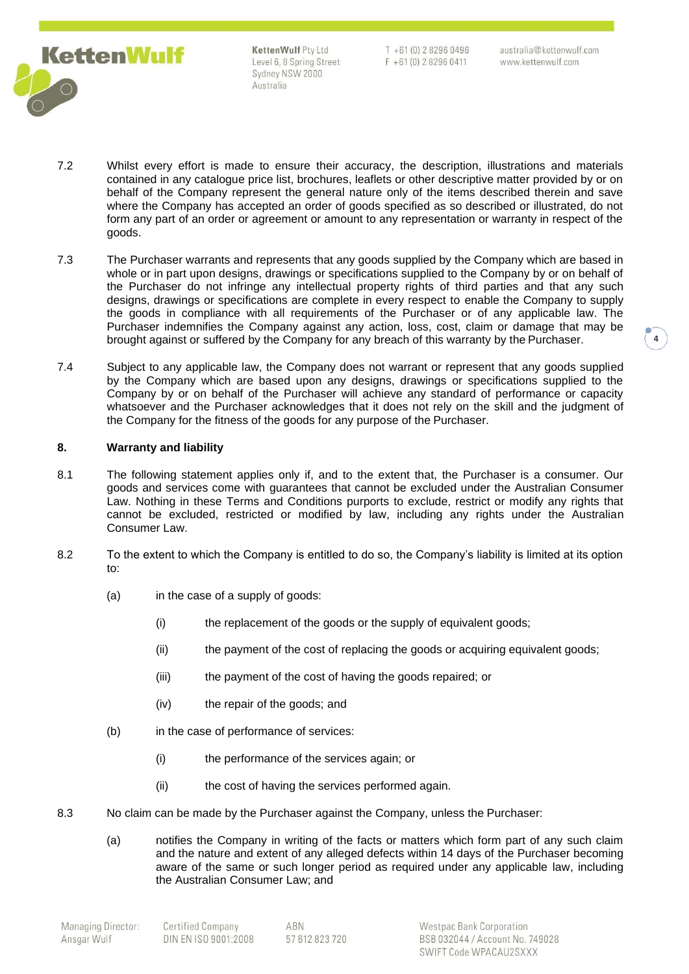

 $T + 61(0)$  282960496  $F + 61(0) 282960411$ 

- 7.2 Whilst every effort is made to ensure their accuracy, the description, illustrations and materials contained in any catalogue price list, brochures, leaflets or other descriptive matter provided by or on behalf of the Company represent the general nature only of the items described therein and save where the Company has accepted an order of goods specified as so described or illustrated, do not form any part of an order or agreement or amount to any representation or warranty in respect of the goods.
- 7.3 The Purchaser warrants and represents that any goods supplied by the Company which are based in whole or in part upon designs, drawings or specifications supplied to the Company by or on behalf of the Purchaser do not infringe any intellectual property rights of third parties and that any such designs, drawings or specifications are complete in every respect to enable the Company to supply the goods in compliance with all requirements of the Purchaser or of any applicable law. The Purchaser indemnifies the Company against any action, loss, cost, claim or damage that may be brought against or suffered by the Company for any breach of this warranty by the Purchaser.
- 7.4 Subject to any applicable law, the Company does not warrant or represent that any goods supplied by the Company which are based upon any designs, drawings or specifications supplied to the Company by or on behalf of the Purchaser will achieve any standard of performance or capacity whatsoever and the Purchaser acknowledges that it does not rely on the skill and the judgment of the Company for the fitness of the goods for any purpose of the Purchaser.

## **8. Warranty and liability**

- 8.1 The following statement applies only if, and to the extent that, the Purchaser is a consumer. Our goods and services come with guarantees that cannot be excluded under the Australian Consumer Law. Nothing in these Terms and Conditions purports to exclude, restrict or modify any rights that cannot be excluded, restricted or modified by law, including any rights under the Australian Consumer Law.
- 8.2 To the extent to which the Company is entitled to do so, the Company's liability is limited at its option to:
	- (a) in the case of a supply of goods:
		- (i) the replacement of the goods or the supply of equivalent goods;
		- (ii) the payment of the cost of replacing the goods or acquiring equivalent goods;
		- (iii) the payment of the cost of having the goods repaired; or
		- (iv) the repair of the goods; and
	- (b) in the case of performance of services:
		- (i) the performance of the services again; or
		- (ii) the cost of having the services performed again.
- 8.3 No claim can be made by the Purchaser against the Company, unless the Purchaser:
	- (a) notifies the Company in writing of the facts or matters which form part of any such claim and the nature and extent of any alleged defects within 14 days of the Purchaser becoming aware of the same or such longer period as required under any applicable law, including the Australian Consumer Law; and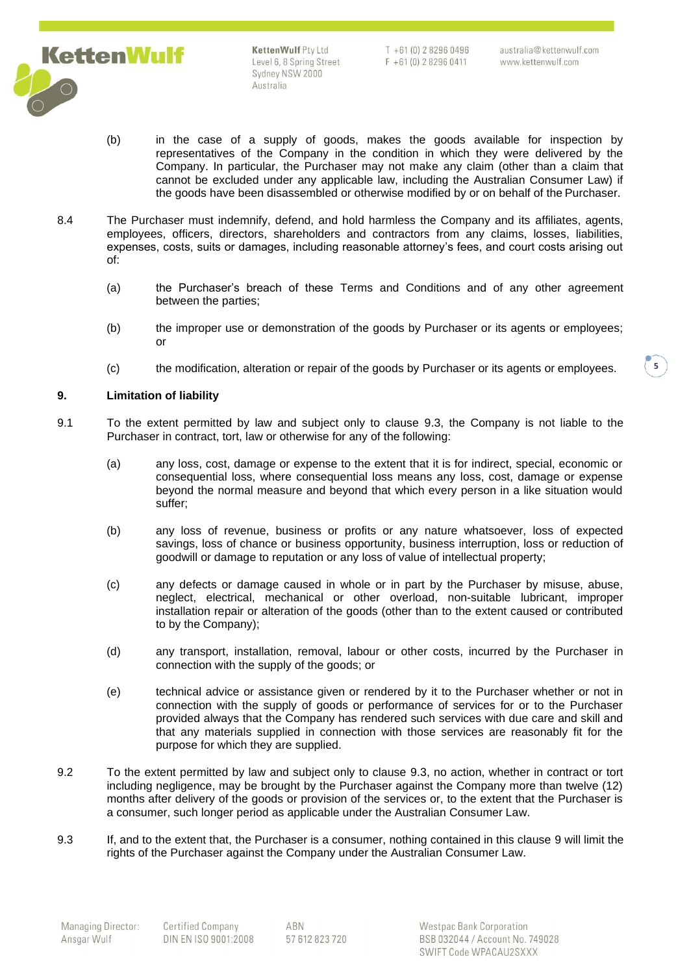

 $T + 61(0)$  2 8296 0496  $F + 61(0) 282960411$ 

**5**

- (b) in the case of a supply of goods, makes the goods available for inspection by representatives of the Company in the condition in which they were delivered by the Company. In particular, the Purchaser may not make any claim (other than a claim that cannot be excluded under any applicable law, including the Australian Consumer Law) if the goods have been disassembled or otherwise modified by or on behalf of the Purchaser.
- 8.4 The Purchaser must indemnify, defend, and hold harmless the Company and its affiliates, agents, employees, officers, directors, shareholders and contractors from any claims, losses, liabilities, expenses, costs, suits or damages, including reasonable attorney's fees, and court costs arising out of:
	- (a) the Purchaser's breach of these Terms and Conditions and of any other agreement between the parties;
	- (b) the improper use or demonstration of the goods by Purchaser or its agents or employees; or
	- (c) the modification, alteration or repair of the goods by Purchaser or its agents or employees.

## <span id="page-4-1"></span>**9. Limitation of liability**

- 9.1 To the extent permitted by law and subject only to clause [9.3,](#page-4-0) the Company is not liable to the Purchaser in contract, tort, law or otherwise for any of the following:
	- (a) any loss, cost, damage or expense to the extent that it is for indirect, special, economic or consequential loss, where consequential loss means any loss, cost, damage or expense beyond the normal measure and beyond that which every person in a like situation would suffer;
	- (b) any loss of revenue, business or profits or any nature whatsoever, loss of expected savings, loss of chance or business opportunity, business interruption, loss or reduction of goodwill or damage to reputation or any loss of value of intellectual property;
	- (c) any defects or damage caused in whole or in part by the Purchaser by misuse, abuse, neglect, electrical, mechanical or other overload, non-suitable lubricant, improper installation repair or alteration of the goods (other than to the extent caused or contributed to by the Company);
	- (d) any transport, installation, removal, labour or other costs, incurred by the Purchaser in connection with the supply of the goods; or
	- (e) technical advice or assistance given or rendered by it to the Purchaser whether or not in connection with the supply of goods or performance of services for or to the Purchaser provided always that the Company has rendered such services with due care and skill and that any materials supplied in connection with those services are reasonably fit for the purpose for which they are supplied.
- 9.2 To the extent permitted by law and subject only to clause [9.3, n](#page-4-0)o action, whether in contract or tort including negligence, may be brought by the Purchaser against the Company more than twelve (12) months after delivery of the goods or provision of the services or, to the extent that the Purchaser is a consumer, such longer period as applicable under the Australian Consumer Law.
- <span id="page-4-0"></span>9.3 If, and to the extent that, the Purchaser is a consumer, nothing contained in this clause [9 w](#page-4-1)ill limit the rights of the Purchaser against the Company under the Australian Consumer Law.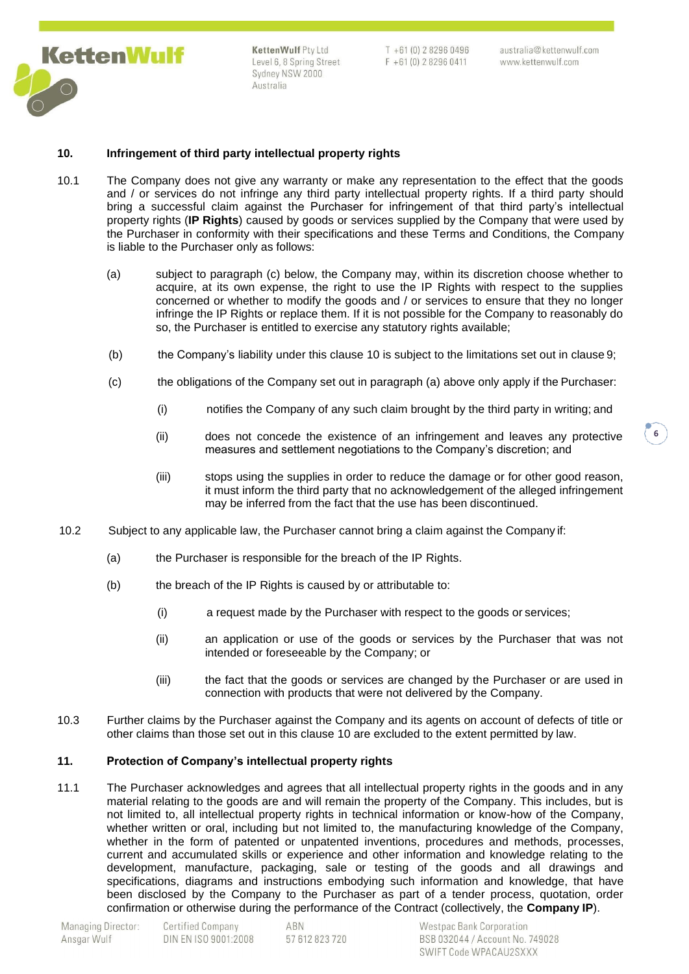

 $T + 61(0)$  2 8296 0496  $F + 61(0) 282960411$ 

australia@kettenwulf.com www.kettenwulf.com

**6**

## <span id="page-5-0"></span>**10. Infringement of third party intellectual property rights**

- 10.1 The Company does not give any warranty or make any representation to the effect that the goods and / or services do not infringe any third party intellectual property rights. If a third party should bring a successful claim against the Purchaser for infringement of that third party's intellectual property rights (**IP Rights**) caused by goods or services supplied by the Company that were used by the Purchaser in conformity with their specifications and these Terms and Conditions, the Company is liable to the Purchaser only as follows:
	- (a) subject to paragraph (c) below, the Company may, within its discretion choose whether to acquire, at its own expense, the right to use the IP Rights with respect to the supplies concerned or whether to modify the goods and / or services to ensure that they no longer infringe the IP Rights or replace them. If it is not possible for the Company to reasonably do so, the Purchaser is entitled to exercise any statutory rights available;
	- (b) the Company's liability under this clause [10 i](#page-5-0)s subject to the limitations set out in clause [9;](#page-4-1)
	- (c) the obligations of the Company set out in paragraph (a) above only apply if the Purchaser:
		- (i) notifies the Company of any such claim brought by the third party in writing; and
		- (ii) does not concede the existence of an infringement and leaves any protective measures and settlement negotiations to the Company's discretion; and
		- (iii) stops using the supplies in order to reduce the damage or for other good reason, it must inform the third party that no acknowledgement of the alleged infringement may be inferred from the fact that the use has been discontinued.
- 10.2 Subject to any applicable law, the Purchaser cannot bring a claim against the Company if:
	- (a) the Purchaser is responsible for the breach of the IP Rights.
	- (b) the breach of the IP Rights is caused by or attributable to:
		- (i) a request made by the Purchaser with respect to the goods or services;
		- (ii) an application or use of the goods or services by the Purchaser that was not intended or foreseeable by the Company; or
		- (iii) the fact that the goods or services are changed by the Purchaser or are used in connection with products that were not delivered by the Company.
- 10.3 Further claims by the Purchaser against the Company and its agents on account of defects of title or other claims than those set out in this clause [10 a](#page-5-0)re excluded to the extent permitted by law.

#### **11. Protection of Company's intellectual property rights**

11.1 The Purchaser acknowledges and agrees that all intellectual property rights in the goods and in any material relating to the goods are and will remain the property of the Company. This includes, but is not limited to, all intellectual property rights in technical information or know-how of the Company, whether written or oral, including but not limited to, the manufacturing knowledge of the Company, whether in the form of patented or unpatented inventions, procedures and methods, processes, current and accumulated skills or experience and other information and knowledge relating to the development, manufacture, packaging, sale or testing of the goods and all drawings and specifications, diagrams and instructions embodying such information and knowledge, that have been disclosed by the Company to the Purchaser as part of a tender process, quotation, order confirmation or otherwise during the performance of the Contract (collectively, the **Company IP**).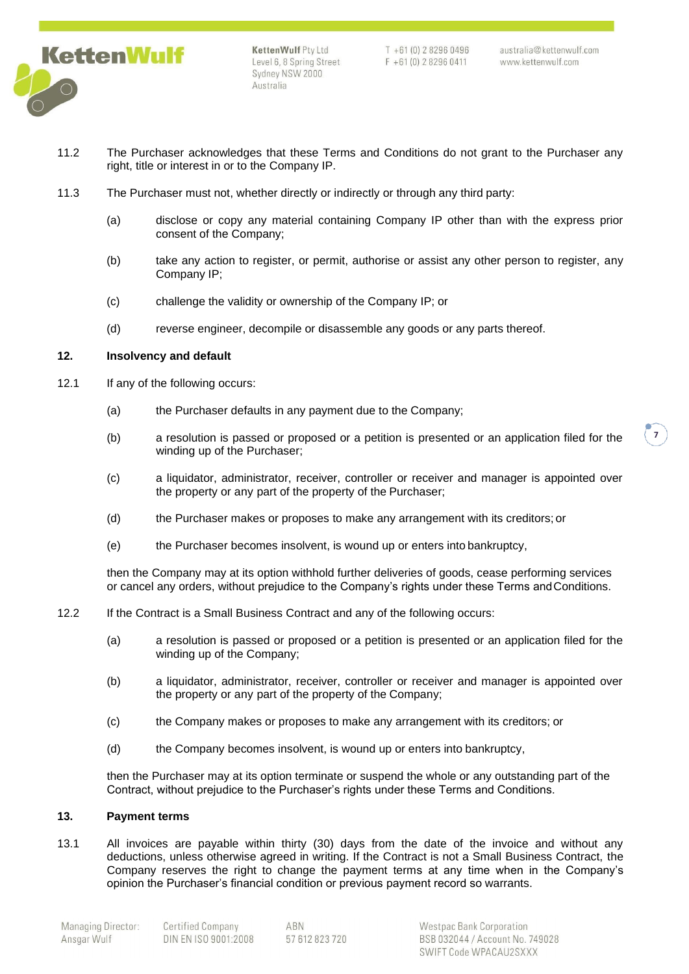

 $T + 61(0) 282960496$  $F + 61(0) 282960411$ 

australia@kettenwulf.com www.kettenwulf.com

- 11.2 The Purchaser acknowledges that these Terms and Conditions do not grant to the Purchaser any right, title or interest in or to the Company IP.
- 11.3 The Purchaser must not, whether directly or indirectly or through any third party:
	- (a) disclose or copy any material containing Company IP other than with the express prior consent of the Company;
	- (b) take any action to register, or permit, authorise or assist any other person to register, any Company IP;
	- (c) challenge the validity or ownership of the Company IP; or
	- (d) reverse engineer, decompile or disassemble any goods or any parts thereof.

#### **12. Insolvency and default**

- 12.1 If any of the following occurs:
	- (a) the Purchaser defaults in any payment due to the Company;
	- (b) a resolution is passed or proposed or a petition is presented or an application filed for the winding up of the Purchaser;
	- (c) a liquidator, administrator, receiver, controller or receiver and manager is appointed over the property or any part of the property of the Purchaser;
	- (d) the Purchaser makes or proposes to make any arrangement with its creditors; or
	- (e) the Purchaser becomes insolvent, is wound up or enters into bankruptcy,

then the Company may at its option withhold further deliveries of goods, cease performing services or cancel any orders, without prejudice to the Company's rights under these Terms andConditions.

- 12.2 If the Contract is a Small Business Contract and any of the following occurs:
	- (a) a resolution is passed or proposed or a petition is presented or an application filed for the winding up of the Company;
	- (b) a liquidator, administrator, receiver, controller or receiver and manager is appointed over the property or any part of the property of the Company;
	- (c) the Company makes or proposes to make any arrangement with its creditors; or
	- (d) the Company becomes insolvent, is wound up or enters into bankruptcy,

then the Purchaser may at its option terminate or suspend the whole or any outstanding part of the Contract, without prejudice to the Purchaser's rights under these Terms and Conditions.

## **13. Payment terms**

13.1 All invoices are payable within thirty (30) days from the date of the invoice and without any deductions, unless otherwise agreed in writing. If the Contract is not a Small Business Contract, the Company reserves the right to change the payment terms at any time when in the Company's opinion the Purchaser's financial condition or previous payment record so warrants.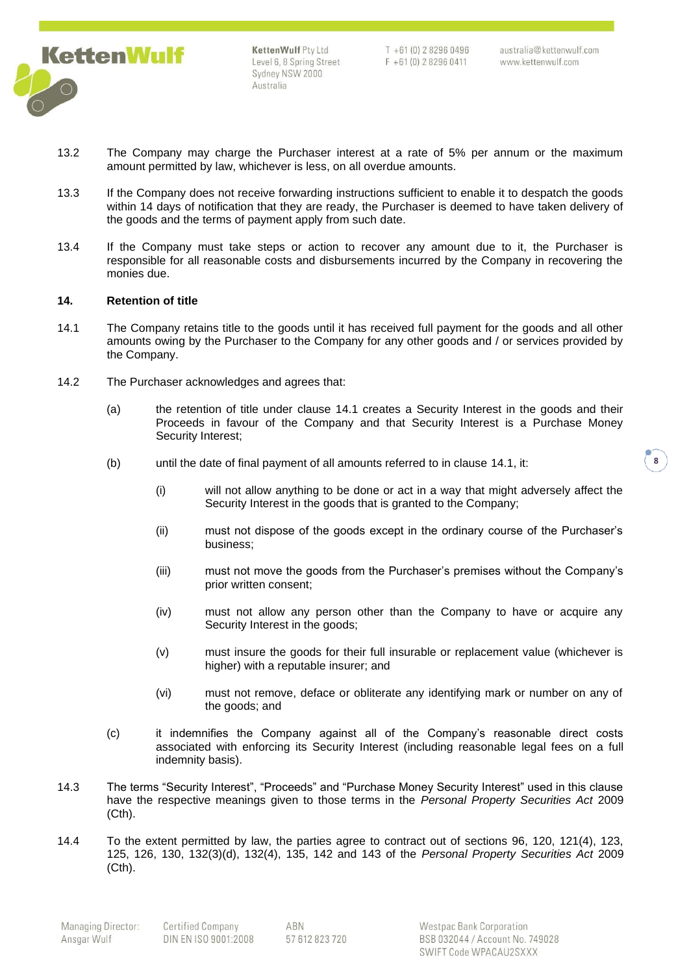

 $T + 61(0) 282960496$  $F + 61(0) 282960411$ 

australia@kettenwulf.com www.kettenwulf.com

- 13.2 The Company may charge the Purchaser interest at a rate of 5% per annum or the maximum amount permitted by law, whichever is less, on all overdue amounts.
- 13.3 If the Company does not receive forwarding instructions sufficient to enable it to despatch the goods within 14 days of notification that they are ready, the Purchaser is deemed to have taken delivery of the goods and the terms of payment apply from such date.
- 13.4 If the Company must take steps or action to recover any amount due to it, the Purchaser is responsible for all reasonable costs and disbursements incurred by the Company in recovering the monies due.

### **14. Retention of title**

- <span id="page-7-0"></span>14.1 The Company retains title to the goods until it has received full payment for the goods and all other amounts owing by the Purchaser to the Company for any other goods and / or services provided by the Company.
- 14.2 The Purchaser acknowledges and agrees that:
	- (a) the retention of title under clause [14.1 c](#page-7-0)reates a Security Interest in the goods and their Proceeds in favour of the Company and that Security Interest is a Purchase Money Security Interest;
	- (b) until the date of final payment of all amounts referred to in clause [14.1,](#page-7-0) it:
		- (i) will not allow anything to be done or act in a way that might adversely affect the Security Interest in the goods that is granted to the Company;
		- (ii) must not dispose of the goods except in the ordinary course of the Purchaser's business;
		- (iii) must not move the goods from the Purchaser's premises without the Company's prior written consent;
		- (iv) must not allow any person other than the Company to have or acquire any Security Interest in the goods;
		- (v) must insure the goods for their full insurable or replacement value (whichever is higher) with a reputable insurer; and
		- (vi) must not remove, deface or obliterate any identifying mark or number on any of the goods; and
	- (c) it indemnifies the Company against all of the Company's reasonable direct costs associated with enforcing its Security Interest (including reasonable legal fees on a full indemnity basis).
- 14.3 The terms "Security Interest", "Proceeds" and "Purchase Money Security Interest" used in this clause have the respective meanings given to those terms in the *Personal Property Securities Act* 2009 (Cth).
- <span id="page-7-1"></span>14.4 To the extent permitted by law, the parties agree to contract out of sections 96, 120, 121(4), 123, 125, 126, 130, 132(3)(d), 132(4), 135, 142 and 143 of the *Personal Property Securities Act* 2009 (Cth).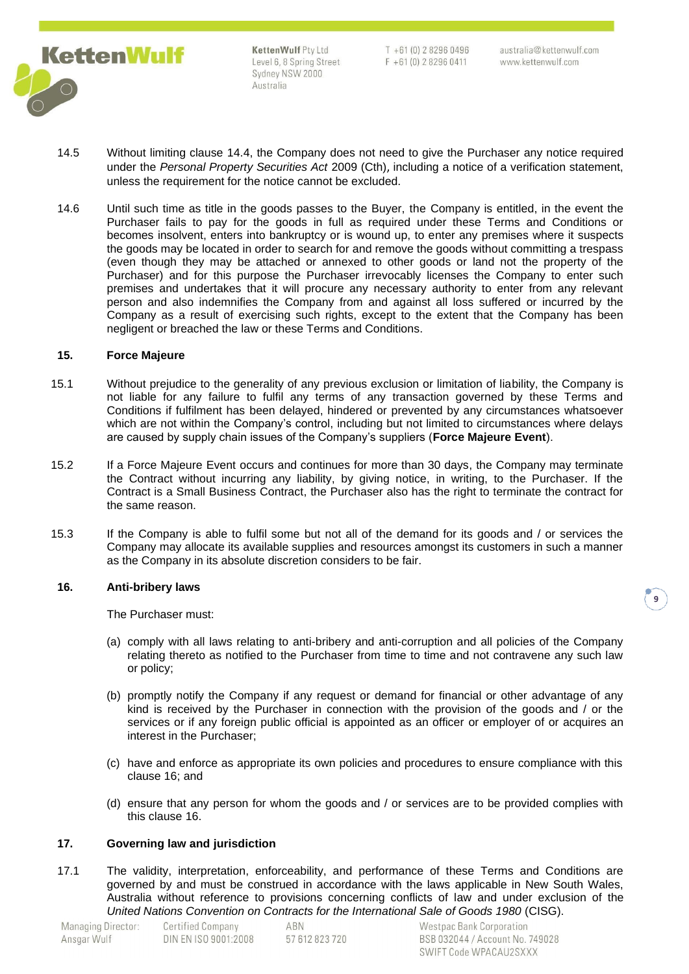

 $T + 61(0)$  282960496  $F + 61(0) 282960411$ 

- 14.5 Without limiting clause [14.4, t](#page-7-1)he Company does not need to give the Purchaser any notice required under the *Personal Property Securities Act* 2009 (Cth), including a notice of a verification statement, unless the requirement for the notice cannot be excluded.
- 14.6 Until such time as title in the goods passes to the Buyer, the Company is entitled, in the event the Purchaser fails to pay for the goods in full as required under these Terms and Conditions or becomes insolvent, enters into bankruptcy or is wound up, to enter any premises where it suspects the goods may be located in order to search for and remove the goods without committing a trespass (even though they may be attached or annexed to other goods or land not the property of the Purchaser) and for this purpose the Purchaser irrevocably licenses the Company to enter such premises and undertakes that it will procure any necessary authority to enter from any relevant person and also indemnifies the Company from and against all loss suffered or incurred by the Company as a result of exercising such rights, except to the extent that the Company has been negligent or breached the law or these Terms and Conditions.

### **15. Force Majeure**

- 15.1 Without prejudice to the generality of any previous exclusion or limitation of liability, the Company is not liable for any failure to fulfil any terms of any transaction governed by these Terms and Conditions if fulfilment has been delayed, hindered or prevented by any circumstances whatsoever which are not within the Company's control, including but not limited to circumstances where delays are caused by supply chain issues of the Company's suppliers (**Force Majeure Event**).
- 15.2 If a Force Majeure Event occurs and continues for more than 30 days, the Company may terminate the Contract without incurring any liability, by giving notice, in writing, to the Purchaser. If the Contract is a Small Business Contract, the Purchaser also has the right to terminate the contract for the same reason.
- 15.3 If the Company is able to fulfil some but not all of the demand for its goods and / or services the Company may allocate its available supplies and resources amongst its customers in such a manner as the Company in its absolute discretion considers to be fair.

### **16. Anti-bribery laws**

<span id="page-8-0"></span>The Purchaser must:

- (a) comply with all laws relating to anti-bribery and anti-corruption and all policies of the Company relating thereto as notified to the Purchaser from time to time and not contravene any such law or policy;
- (b) promptly notify the Company if any request or demand for financial or other advantage of any kind is received by the Purchaser in connection with the provision of the goods and / or the services or if any foreign public official is appointed as an officer or employer of or acquires an interest in the Purchaser;
- (c) have and enforce as appropriate its own policies and procedures to ensure compliance with this clause [16;](#page-8-0) and
- (d) ensure that any person for whom the goods and / or services are to be provided complies with this clause [16.](#page-8-0)

## **17. Governing law and jurisdiction**

17.1 The validity, interpretation, enforceability, and performance of these Terms and Conditions are governed by and must be construed in accordance with the laws applicable in New South Wales, Australia without reference to provisions concerning conflicts of law and under exclusion of the *United Nations Convention on Contracts for the International Sale of Goods 1980* (CISG).